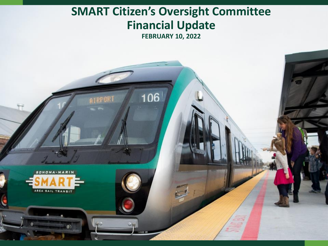### **SMART Citizen's Oversight Committee Financial Update**

**FEBRUARY 10, 2022**

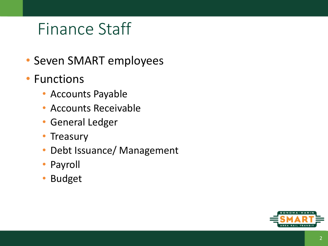# Finance Staff

- Seven SMART employees
- Functions
	- Accounts Payable
	- Accounts Receivable
	- General Ledger
	- Treasury
	- Debt Issuance/ Management
	- Payroll
	- Budget

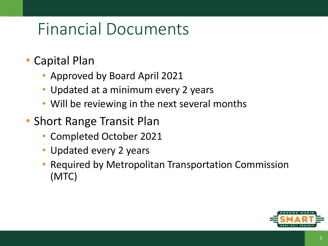# Financial Documents

- Capital Plan
	- Approved by Board April 2021
	- Updated at a minimum every 2 years
	- Will be reviewing in the next several months
- Short Range Transit Plan
	- Completed October 2021
	- Updated every 2 years
	- Required by Metropolitan Transportation Commission (MTC)

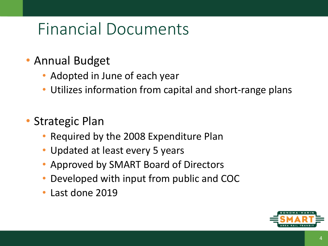# Financial Documents

### • Annual Budget

- Adopted in June of each year
- Utilizes information from capital and short-range plans
- Strategic Plan
	- Required by the 2008 Expenditure Plan
	- Updated at least every 5 years
	- Approved by SMART Board of Directors
	- Developed with input from public and COC
	- Last done 2019

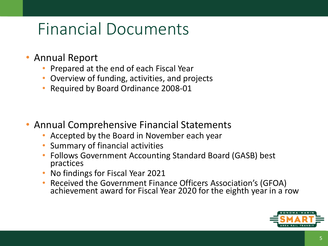### Financial Documents

- Annual Report
	- Prepared at the end of each Fiscal Year
	- Overview of funding, activities, and projects
	- Required by Board Ordinance 2008-01

- Annual Comprehensive Financial Statements
	- Accepted by the Board in November each year
	- Summary of financial activities
	- Follows Government Accounting Standard Board (GASB) best practices
	- No findings for Fiscal Year 2021
	- Received the Government Finance Officers Association's (GFOA) achievement award for Fiscal Year 2020 for the eighth year in a row